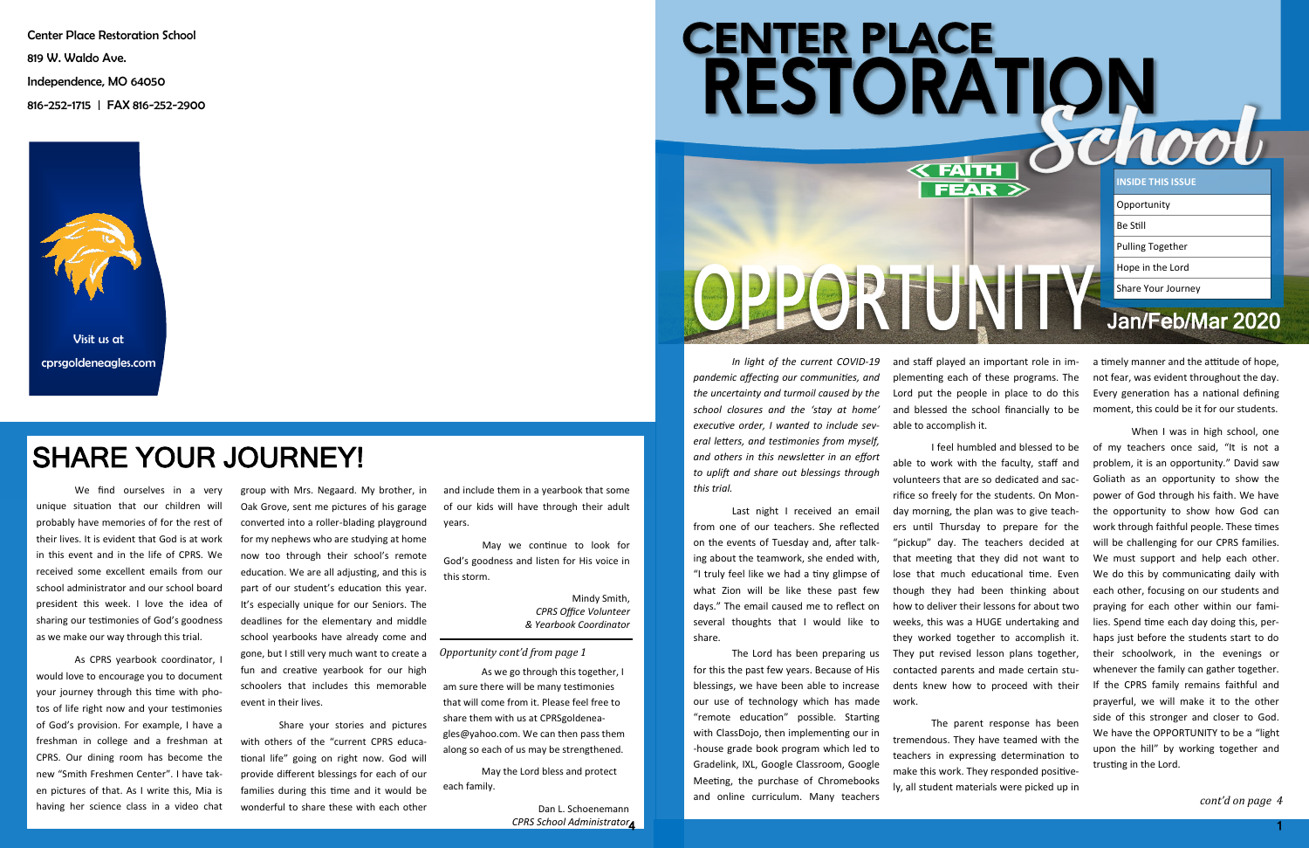

and staff played an important role in implementing each of these programs. The Lord put the people in place to do this and blessed the school financially to be able to accomplish it.

I feel humbled and blessed to be able to work with the faculty, staff and volunteers that are so dedicated and sacrifice so freely for the students. On Monday morning, the plan was to give teachers until Thursday to prepare for the "pickup" day. The teachers decided at that meeting that they did not want to lose that much educational time. Even though they had been thinking about how to deliver their lessons for about two weeks, this was a HUGE undertaking and they worked together to accomplish it. They put revised lesson plans together, contacted parents and made certain students knew how to proceed with their work.

The parent response has been tremendous. They have teamed with the teachers in expressing determination to make this work. They responded positively, all student materials were picked up in

When I was in high school, one of my teachers once said, "It is not a problem, it is an opportunity." David saw Goliath as an opportunity to show the power of God through his faith. We have the opportunity to show how God can work through faithful people. These times will be challenging for our CPRS families. We must support and help each other. We do this by communicating daily with each other, focusing on our students and praying for each other within our families. Spend time each day doing this, perhaps just before the students start to do their schoolwork, in the evenings or whenever the family can gather together. If the CPRS family remains faithful and prayerful, we will make it to the other side of this stronger and closer to God. We have the OPPORTUNITY to be a "light upon the hill" by working together and trusting in the Lord.

a timely manner and the attitude of hope, not fear, was evident throughout the day. Every generation has a national defining moment, this could be it for our students.

We find ourselves in a very gro unique situation that our children will probably have memories of for the rest of their lives. It is evident that God is at work in this event and in the life of CPRS. We received some excellent emails from our school administrator and our school board president this week. I love the idea of sharing our testimonies of God's goodness as we make our way through this trial.

*In light of the current COVID-19 pandemic affecting our communities, and the uncertainty and turmoil caused by the school closures and the 'stay at home' executive order, I wanted to include several letters, and testimonies from myself, and others in this newsletter in an effort to uplift and share out blessings through this trial.* 

Last night I received an email from one of our teachers. She reflected on the events of Tuesday and, after talking about the teamwork, she ended with, "I truly feel like we had a tiny glimpse of what Zion will be like these past few days." The email caused me to reflect on several thoughts that I would like to share.

The Lord has been preparing us for this the past few years. Because of His blessings, we have been able to increase our use of technology which has made "remote education" possible. Starting with ClassDojo, then implementing our in -house grade book program which led to Gradelink, IXL, Google Classroom, Google Meeting, the purchase of Chromebooks and online curriculum. Many teachers

Center Place Restoration School 819 W. Waldo Ave. Independence, MO 64050 816-252-1715 | FAX 816-252-2900



As CPRS yearbook coordinator, I would love to encourage you to document your journey through this time with photos of life right now and your testimonies of God's provision. For example, I have a freshman in college and a freshman at CPRS. Our dining room has become the new "Smith Freshmen Center". I have taken pictures of that. As I write this, Mia is having her science class in a video chat group with Mrs. Negaard. My brother, in Oak Grove, sent me pictures of his garage converted into a roller-blading playground for my nephews who are studying at home now too through their school's remote education. We are all adjusting, and this is part of our student's education this year. It's especially unique for our Seniors. The deadlines for the elementary and middle school yearbooks have already come and gone, but I still very much want to create a fun and creative yearbook for our high schoolers that includes this memorable event in their lives.

> 4 *CPRS School Administrator*Dan L. Schoenemann

Share your stories and pictures with others of the "current CPRS educational life" going on right now. God will provide different blessings for each of our families during this time and it would be wonderful to share these with each other

### SHARE YOUR JOURNEY!

*Opportunity cont'd from page 1*

and include them in a yearbook that some of our kids will have through their adult years.

May we continue to look for God's goodness and listen for His voice in this storm.

> Mindy Smith, *CPRS Office Volunteer & Yearbook Coordinator*

As we go through this together, I am sure there will be many testimonies that will come from it. Please feel free to share them with us at CPRSgoldeneagles@yahoo.com. We can then pass them along so each of us may be strengthened.

May the Lord bless and protect each family.